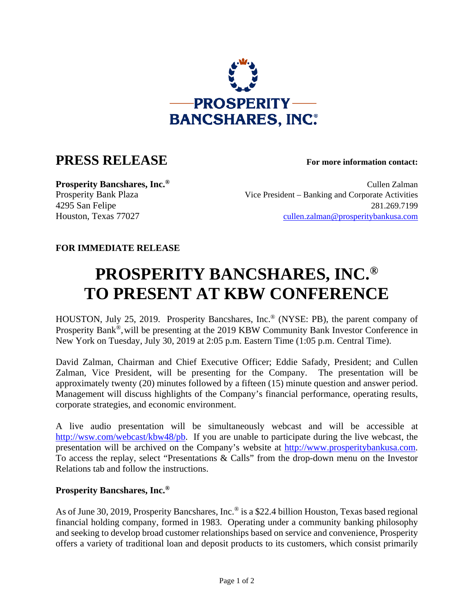

## **PRESS RELEASE For more information contact:**

**Prosperity Bancshares, Inc.<sup>®</sup> Cullen Zalman** Prosperity Bank Plaza Vice President – Banking and Corporate Activities 4295 San Felipe 281.269.7199 Houston, Texas 77027 cullen.zalman@prosperitybankusa.com

## **FOR IMMEDIATE RELEASE**

## **PROSPERITY BANCSHARES, INC.® TO PRESENT AT KBW CONFERENCE**

HOUSTON, July 25, 2019. Prosperity Bancshares, Inc.® (NYSE: PB), the parent company of Prosperity Bank®,will be presenting at the 2019 KBW Community Bank Investor Conference in New York on Tuesday, July 30, 2019 at 2:05 p.m. Eastern Time (1:05 p.m. Central Time).

David Zalman, Chairman and Chief Executive Officer; Eddie Safady, President; and Cullen Zalman, Vice President, will be presenting for the Company. The presentation will be approximately twenty (20) minutes followed by a fifteen (15) minute question and answer period. Management will discuss highlights of the Company's financial performance, operating results, corporate strategies, and economic environment.

A live audio presentation will be simultaneously webcast and will be accessible at http://wsw.com/webcast/kbw48/pb. If you are unable to participate during the live webcast, the presentation will be archived on the Company's website at http://www.prosperitybankusa.com. To access the replay, select "Presentations & Calls" from the drop-down menu on the Investor Relations tab and follow the instructions.

## **Prosperity Bancshares, Inc.®**

As of June 30, 2019, Prosperity Bancshares, Inc.<sup>®</sup> is a \$22.4 billion Houston, Texas based regional financial holding company, formed in 1983. Operating under a community banking philosophy and seeking to develop broad customer relationships based on service and convenience, Prosperity offers a variety of traditional loan and deposit products to its customers, which consist primarily